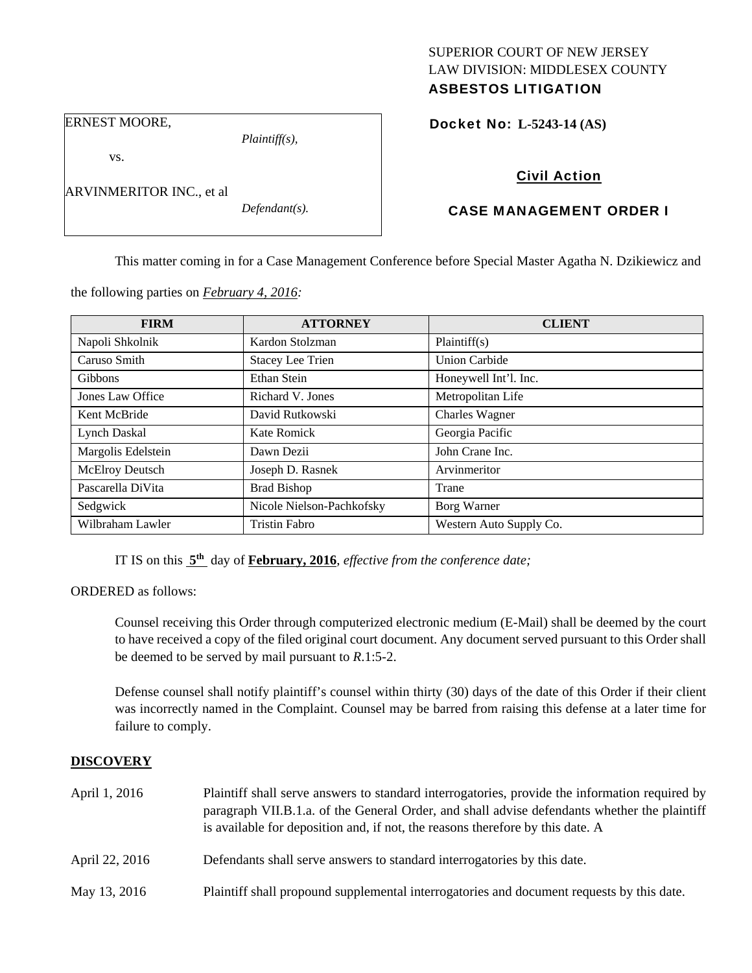# SUPERIOR COURT OF NEW JERSEY LAW DIVISION: MIDDLESEX COUNTY

# ASBESTOS LITIGATION

ERNEST MOORE,

vs.

ARVINMERITOR INC., et al

*Defendant(s).* 

*Plaintiff(s),* 

Docket No: **L-5243-14 (AS)** 

# Civil Action

# CASE MANAGEMENT ORDER I

This matter coming in for a Case Management Conference before Special Master Agatha N. Dzikiewicz and

| <b>FIRM</b>            | <b>ATTORNEY</b>           | <b>CLIENT</b>           |
|------------------------|---------------------------|-------------------------|
| Napoli Shkolnik        | Kardon Stolzman           | Plaintiff(s)            |
| Caruso Smith           | <b>Stacey Lee Trien</b>   | <b>Union Carbide</b>    |
| <b>Gibbons</b>         | <b>Ethan Stein</b>        | Honeywell Int'l. Inc.   |
| Jones Law Office       | Richard V. Jones          | Metropolitan Life       |
| Kent McBride           | David Rutkowski           | Charles Wagner          |
| <b>Lynch Daskal</b>    | Kate Romick               | Georgia Pacific         |
| Margolis Edelstein     | Dawn Dezii                | John Crane Inc.         |
| <b>McElroy Deutsch</b> | Joseph D. Rasnek          | Arvinmeritor            |
| Pascarella DiVita      | <b>Brad Bishop</b>        | Trane                   |
| Sedgwick               | Nicole Nielson-Pachkofsky | Borg Warner             |
| Wilbraham Lawler       | <b>Tristin Fabro</b>      | Western Auto Supply Co. |

the following parties on *February 4, 2016:* 

IT IS on this **5th** day of **February, 2016**, *effective from the conference date;*

ORDERED as follows:

Counsel receiving this Order through computerized electronic medium (E-Mail) shall be deemed by the court to have received a copy of the filed original court document. Any document served pursuant to this Order shall be deemed to be served by mail pursuant to *R*.1:5-2.

Defense counsel shall notify plaintiff's counsel within thirty (30) days of the date of this Order if their client was incorrectly named in the Complaint. Counsel may be barred from raising this defense at a later time for failure to comply.

# **DISCOVERY**

| April 1, 2016  | Plaintiff shall serve answers to standard interrogatories, provide the information required by<br>paragraph VII.B.1.a. of the General Order, and shall advise defendants whether the plaintiff<br>is available for deposition and, if not, the reasons therefore by this date. A |
|----------------|----------------------------------------------------------------------------------------------------------------------------------------------------------------------------------------------------------------------------------------------------------------------------------|
| April 22, 2016 | Defendants shall serve answers to standard interrogatories by this date.                                                                                                                                                                                                         |
| May 13, 2016   | Plaintiff shall propound supplemental interrogatories and document requests by this date.                                                                                                                                                                                        |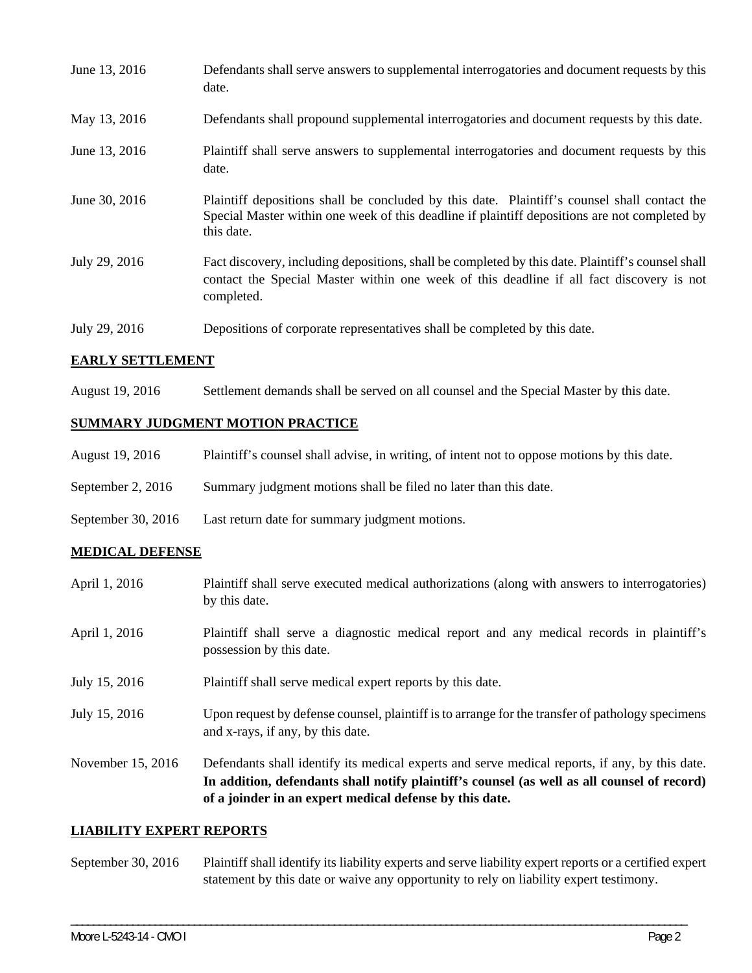| June 13, 2016 | Defendants shall serve answers to supplemental interrogatories and document requests by this<br>date.                                                                                                       |
|---------------|-------------------------------------------------------------------------------------------------------------------------------------------------------------------------------------------------------------|
| May 13, 2016  | Defendants shall propound supplemental interrogatories and document requests by this date.                                                                                                                  |
| June 13, 2016 | Plaintiff shall serve answers to supplemental interrogatories and document requests by this<br>date.                                                                                                        |
| June 30, 2016 | Plaintiff depositions shall be concluded by this date. Plaintiff's counsel shall contact the<br>Special Master within one week of this deadline if plaintiff depositions are not completed by<br>this date. |
| July 29, 2016 | Fact discovery, including depositions, shall be completed by this date. Plaintiff's counsel shall<br>contact the Special Master within one week of this deadline if all fact discovery is not<br>completed. |
| July 29, 2016 | Depositions of corporate representatives shall be completed by this date.                                                                                                                                   |

#### **EARLY SETTLEMENT**

August 19, 2016 Settlement demands shall be served on all counsel and the Special Master by this date.

# **SUMMARY JUDGMENT MOTION PRACTICE**

| August 19, 2016    | Plaintiff's counsel shall advise, in writing, of intent not to oppose motions by this date. |
|--------------------|---------------------------------------------------------------------------------------------|
| September 2, 2016  | Summary judgment motions shall be filed no later than this date.                            |
| September 30, 2016 | Last return date for summary judgment motions.                                              |

# **MEDICAL DEFENSE**

|                   | In addition, defendants shall notify plaintiff's counsel (as well as all counsel of record)<br>of a joinder in an expert medical defense by this date. |
|-------------------|--------------------------------------------------------------------------------------------------------------------------------------------------------|
| November 15, 2016 | Defendants shall identify its medical experts and serve medical reports, if any, by this date.                                                         |
| July 15, 2016     | Upon request by defense counsel, plaintiff is to arrange for the transfer of pathology specimens<br>and x-rays, if any, by this date.                  |
| July 15, 2016     | Plaintiff shall serve medical expert reports by this date.                                                                                             |
| April 1, 2016     | Plaintiff shall serve a diagnostic medical report and any medical records in plaintiff's<br>possession by this date.                                   |
| April 1, 2016     | Plaintiff shall serve executed medical authorizations (along with answers to interrogatories)<br>by this date.                                         |

#### **LIABILITY EXPERT REPORTS**

September 30, 2016 Plaintiff shall identify its liability experts and serve liability expert reports or a certified expert statement by this date or waive any opportunity to rely on liability expert testimony.

\_\_\_\_\_\_\_\_\_\_\_\_\_\_\_\_\_\_\_\_\_\_\_\_\_\_\_\_\_\_\_\_\_\_\_\_\_\_\_\_\_\_\_\_\_\_\_\_\_\_\_\_\_\_\_\_\_\_\_\_\_\_\_\_\_\_\_\_\_\_\_\_\_\_\_\_\_\_\_\_\_\_\_\_\_\_\_\_\_\_\_\_\_\_\_\_\_\_\_\_\_\_\_\_\_\_\_\_\_\_